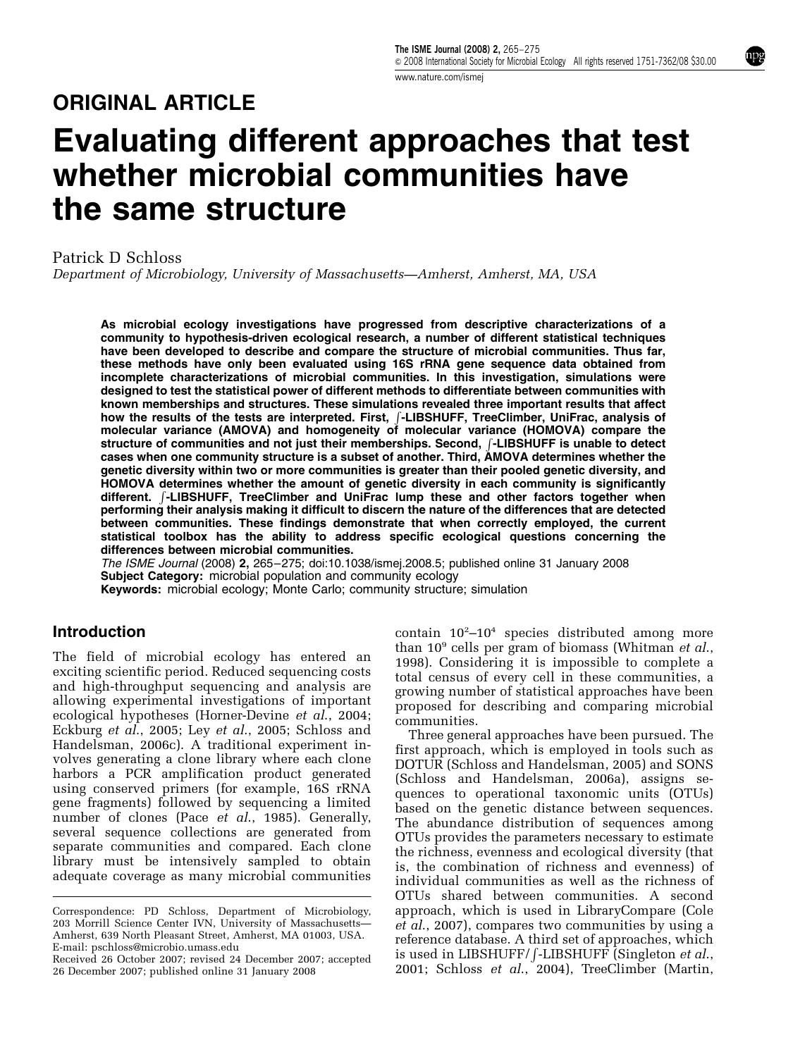npg

# ORIGINAL ARTICLE

# Evaluating different approaches that test whether microbial communities have the same structure

Patrick D Schloss

Department of Microbiology, University of Massachusetts—Amherst, Amherst, MA, USA

As microbial ecology investigations have progressed from descriptive characterizations of a community to hypothesis-driven ecological research, a number of different statistical techniques have been developed to describe and compare the structure of microbial communities. Thus far, these methods have only been evaluated using 16S rRNA gene sequence data obtained from incomplete characterizations of microbial communities. In this investigation, simulations were designed to test the statistical power of different methods to differentiate between communities with known memberships and structures. These simulations revealed three important results that affect known memberships and structures. These simulations revealed times important results that allect<br>how the results of the tests are interpreted. First, f-LIBSHUFF, TreeClimber, UniFrac, analysis of molecular variance (AMOVA) and homogeneity of molecular variance (HOMOVA) compare the molecular variance (AMOVA) and nomogenery or molecular variance (NOMOVA) compare the<br>structure of communities and not just their memberships. Second, *[*-LIBSHUFF is unable to detect cases when one community structure is a subset of another. Third, AMOVA determines whether the genetic diversity within two or more communities is greater than their pooled genetic diversity, and HOMOVA determines whether the amount of genetic diversity in each community is significantly different. *[*-LIBSHUFF, TreeClimber and UniFrac lump these and other factors together when performing their analysis making it difficult to discern the nature of the differences that are detected between communities. These findings demonstrate that when correctly employed, the current statistical toolbox has the ability to address specific ecological questions concerning the differences between microbial communities.

The ISME Journal (2008) 2, 265–275; doi[:10.1038/ismej.2008.5;](http://dx.doi.org/10.1038/ISMEJ.2008.5) published online 31 January 2008 Subject Category: microbial population and community ecology Keywords: microbial ecology; Monte Carlo; community structure; simulation

# Introduction

The field of microbial ecology has entered an exciting scientific period. Reduced sequencing costs and high-throughput sequencing and analysis are allowing experimental investigations of important ecological hypotheses [\(Horner-Devine](#page-9-0) et al., 2004; [Eckburg](#page-9-0) et al., 2005; Ley et al[., 2005](#page-10-0); [Schloss and](#page-10-0) [Handelsman, 2006c](#page-10-0)). A traditional experiment involves generating a clone library where each clone harbors a PCR amplification product generated using conserved primers (for example, 16S rRNA gene fragments) followed by sequencing a limited number of clones (Pace  $et$  al[., 1985\)](#page-10-0). Generally, several sequence collections are generated from separate communities and compared. Each clone library must be intensively sampled to obtain adequate coverage as many microbial communities

Correspondence: PD Schloss, Department of Microbiology, 203 Morrill Science Center IVN, University of Massachusetts— Amherst, 639 North Pleasant Street, Amherst, MA 01003, USA. E-mail: [pschloss@microbio.umass.edu](mailto:pschloss@microbio.umass.edu)

26 December 2007; published online 31 January 2008

contain 10<sup>2</sup>-10<sup>4</sup> species distributed among more than  $10^9$  cells per gram of biomass ([Whitman](#page-10-0) *et al.*, [1998\)](#page-10-0). Considering it is impossible to complete a total census of every cell in these communities, a growing number of statistical approaches have been proposed for describing and comparing microbial communities.

Three general approaches have been pursued. The first approach, which is employed in tools such as DOTUR ([Schloss and Handelsman, 2005\)](#page-10-0) and SONS [\(Schloss and Handelsman, 2006a](#page-10-0)), assigns sequences to operational taxonomic units (OTUs) based on the genetic distance between sequences. The abundance distribution of sequences among OTUs provides the parameters necessary to estimate the richness, evenness and ecological diversity (that is, the combination of richness and evenness) of individual communities as well as the richness of OTUs shared between communities. A second approach, which is used in LibraryCompare [\(Cole](#page-9-0) et al[., 2007\)](#page-9-0), compares two communities by using a reference database. A third set of approaches, which reference database. A timu set of approaches, which<br>is used in LIBSHUFF/∫-LIBSHUFF ([Singleton](#page-10-0) *et al.*, Received 26 October 2007; revised 24 December 2007; accepted lights used in LIBSHUFF/J-LIBSHUFF (Singleton *et al., 2004*), TreeClimber ([Martin,](#page-10-0)  $\frac{2001}{36}$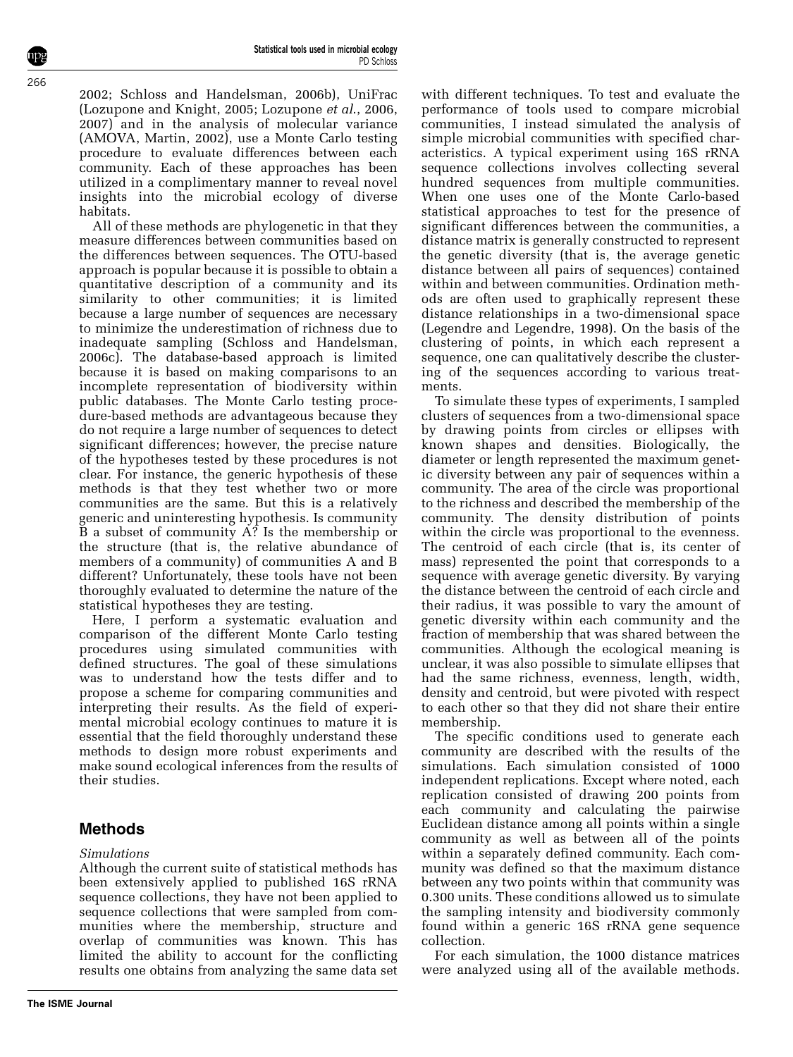[2002; Schloss and Handelsman, 2006b](#page-10-0)), UniFrac ([Lozupone and Knight, 2005; Lozupone](#page-10-0) et al., 2006, [2007\)](#page-10-0) and in the analysis of molecular variance (AMOVA, [Martin, 2002](#page-10-0)), use a Monte Carlo testing procedure to evaluate differences between each community. Each of these approaches has been utilized in a complimentary manner to reveal novel insights into the microbial ecology of diverse habitats.

All of these methods are phylogenetic in that they measure differences between communities based on the differences between sequences. The OTU-based approach is popular because it is possible to obtain a quantitative description of a community and its similarity to other communities; it is limited because a large number of sequences are necessary to minimize the underestimation of richness due to inadequate sampling ([Schloss and Handelsman,](#page-10-0) [2006c\)](#page-10-0). The database-based approach is limited because it is based on making comparisons to an incomplete representation of biodiversity within public databases. The Monte Carlo testing procedure-based methods are advantageous because they do not require a large number of sequences to detect significant differences; however, the precise nature of the hypotheses tested by these procedures is not clear. For instance, the generic hypothesis of these methods is that they test whether two or more communities are the same. But this is a relatively generic and uninteresting hypothesis. Is community B a subset of community A? Is the membership or the structure (that is, the relative abundance of members of a community) of communities A and B different? Unfortunately, these tools have not been thoroughly evaluated to determine the nature of the statistical hypotheses they are testing.

Here, I perform a systematic evaluation and comparison of the different Monte Carlo testing procedures using simulated communities with defined structures. The goal of these simulations was to understand how the tests differ and to propose a scheme for comparing communities and interpreting their results. As the field of experimental microbial ecology continues to mature it is essential that the field thoroughly understand these methods to design more robust experiments and make sound ecological inferences from the results of their studies.

# Methods

# Simulations

Although the current suite of statistical methods has been extensively applied to published 16S rRNA sequence collections, they have not been applied to sequence collections that were sampled from communities where the membership, structure and overlap of communities was known. This has limited the ability to account for the conflicting results one obtains from analyzing the same data set

with different techniques. To test and evaluate the performance of tools used to compare microbial communities, I instead simulated the analysis of simple microbial communities with specified characteristics. A typical experiment using 16S rRNA sequence collections involves collecting several hundred sequences from multiple communities. When one uses one of the Monte Carlo-based statistical approaches to test for the presence of significant differences between the communities, a distance matrix is generally constructed to represent the genetic diversity (that is, the average genetic distance between all pairs of sequences) contained within and between communities. Ordination methods are often used to graphically represent these distance relationships in a two-dimensional space ([Legendre and Legendre, 1998](#page-10-0)). On the basis of the clustering of points, in which each represent a sequence, one can qualitatively describe the clustering of the sequences according to various treatments.

To simulate these types of experiments, I sampled clusters of sequences from a two-dimensional space by drawing points from circles or ellipses with known shapes and densities. Biologically, the diameter or length represented the maximum genetic diversity between any pair of sequences within a community. The area of the circle was proportional to the richness and described the membership of the community. The density distribution of points within the circle was proportional to the evenness. The centroid of each circle (that is, its center of mass) represented the point that corresponds to a sequence with average genetic diversity. By varying the distance between the centroid of each circle and their radius, it was possible to vary the amount of genetic diversity within each community and the fraction of membership that was shared between the communities. Although the ecological meaning is unclear, it was also possible to simulate ellipses that had the same richness, evenness, length, width, density and centroid, but were pivoted with respect to each other so that they did not share their entire membership.

The specific conditions used to generate each community are described with the results of the simulations. Each simulation consisted of 1000 independent replications. Except where noted, each replication consisted of drawing 200 points from each community and calculating the pairwise Euclidean distance among all points within a single community as well as between all of the points within a separately defined community. Each community was defined so that the maximum distance between any two points within that community was 0.300 units. These conditions allowed us to simulate the sampling intensity and biodiversity commonly found within a generic 16S rRNA gene sequence collection.

For each simulation, the 1000 distance matrices were analyzed using all of the available methods.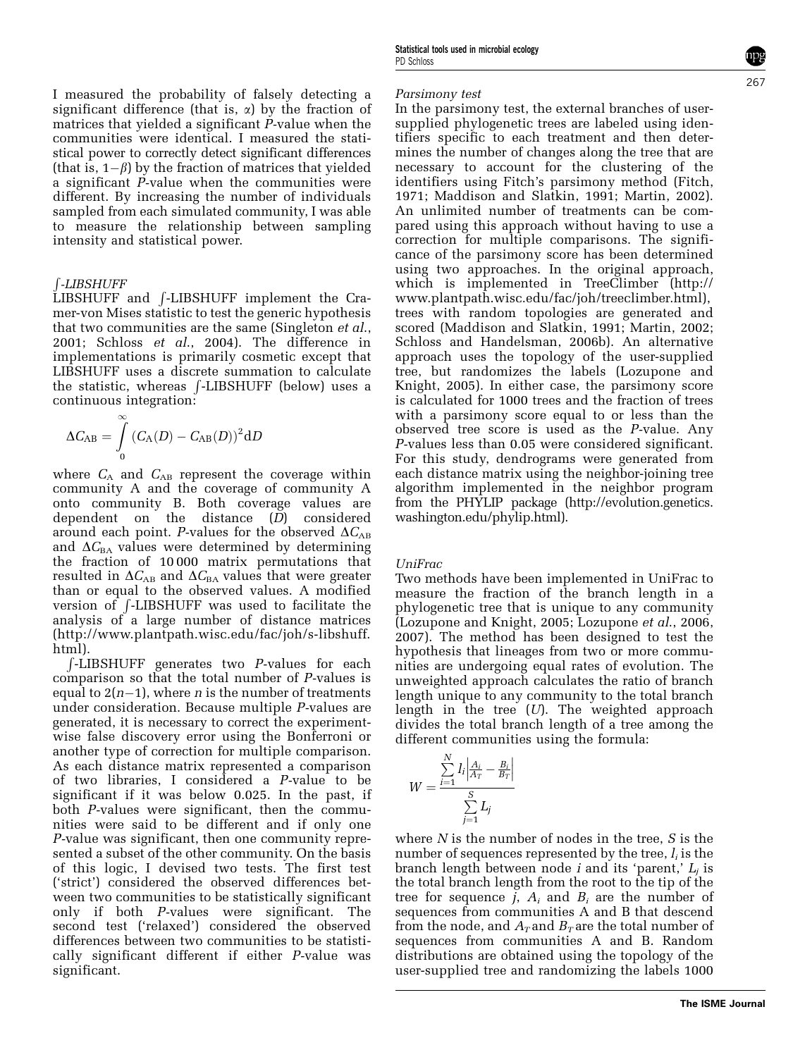I measured the probability of falsely detecting a significant difference (that is,  $\alpha$ ) by the fraction of matrices that yielded a significant P-value when the communities were identical. I measured the statistical power to correctly detect significant differences (that is,  $1-\beta$ ) by the fraction of matrices that yielded a significant P-value when the communities were different. By increasing the number of individuals sampled from each simulated community, I was able to measure the relationship between sampling intensity and statistical power.

# R -LIBSHUFF

<sub>J</sub>-*LIBSHUFF*<br>LIBSHUFF and ∫-LIBSHUFF implement the Cramer-von Mises statistic to test the generic hypothesis that two communities are the same ([Singleton](#page-10-0) et al., [2001;](#page-10-0) Schloss et al[., 2004\)](#page-10-0). The difference in implementations is primarily cosmetic except that LIBSHUFF uses a discrete summation to calculate  $\frac{1}{100}$  and the statistic, whereas  $\int$ -LIBSHUFF (below) uses a continuous integration:

$$
\Delta C_{\text{AB}} = \int\limits_0^\infty {(C_{\text{A}}(D) - C_{\text{AB}}(D))^2 \text{d}D}
$$

where  $C_A$  and  $C_{AB}$  represent the coverage within community A and the coverage of community A onto community B. Both coverage values are dependent on the distance  $(D)$  considered around each point. P-values for the observed  $\Delta C_{AB}$ and  $\Delta C_{BA}$  values were determined by determining the fraction of 10 000 matrix permutations that resulted in  $\Delta C_{AB}$  and  $\Delta C_{BA}$  values that were greater than or equal to the observed values. A modified than of equal to the observed values. A modified<br>version of f-LIBSHUFF was used to facilitate the analysis of a large number of distance matrices [\(http://www.plantpath.wisc.edu/fac/joh/s-libshuff.](http://www.plantpath.wisc.edu/fac/joh/s-libshuff.html) [html\)](http://www.plantpath.wisc.edu/fac/joh/s-libshuff.html).

......<br>∫-LIBSHUFF generates two *P-*values for each comparison so that the total number of P-values is equal to  $2(n-1)$ , where *n* is the number of treatments under consideration. Because multiple P-values are generated, it is necessary to correct the experimentwise false discovery error using the Bonferroni or another type of correction for multiple comparison. As each distance matrix represented a comparison of two libraries, I considered a P-value to be significant if it was below 0.025. In the past, if both P-values were significant, then the communities were said to be different and if only one P-value was significant, then one community represented a subset of the other community. On the basis of this logic, I devised two tests. The first test ('strict') considered the observed differences between two communities to be statistically significant only if both P-values were significant. The second test ('relaxed') considered the observed differences between two communities to be statistically significant different if either P-value was significant.

#### Parsimony test

In the parsimony test, the external branches of usersupplied phylogenetic trees are labeled using identifiers specific to each treatment and then determines the number of changes along the tree that are necessary to account for the clustering of the identifiers using Fitch's parsimony method [\(Fitch,](#page-9-0) [1971;](#page-9-0) [Maddison and Slatkin, 1991](#page-10-0); [Martin, 2002\)](#page-10-0). An unlimited number of treatments can be compared using this approach without having to use a correction for multiple comparisons. The significance of the parsimony score has been determined using two approaches. In the original approach, which is implemented in TreeClimber [\(http://](http://www.plantpath.wisc.edu/fac/joh/treeclimber.html) [www.plantpath.wisc.edu/fac/joh/treeclimber.html](http://www.plantpath.wisc.edu/fac/joh/treeclimber.html)), trees with random topologies are generated and scored ([Maddison and Slatkin, 1991; Martin, 2002;](#page-10-0) [Schloss and Handelsman, 2006b](#page-10-0)). An alternative approach uses the topology of the user-supplied tree, but randomizes the labels ([Lozupone and](#page-10-0) [Knight, 2005](#page-10-0)). In either case, the parsimony score is calculated for 1000 trees and the fraction of trees with a parsimony score equal to or less than the observed tree score is used as the P-value. Any P-values less than 0.05 were considered significant. For this study, dendrograms were generated from each distance matrix using the neighbor-joining tree algorithm implemented in the neighbor program from the PHYLIP package [\(http://evolution.genetics.](http://evolution.genetics.washington.edu/phylip.html) [washington.edu/phylip.html](http://evolution.genetics.washington.edu/phylip.html)).

#### UniFrac

Two methods have been implemented in UniFrac to measure the fraction of the branch length in a phylogenetic tree that is unique to any community [\(Lozupone and Knight, 2005; Lozupone](#page-10-0) et al., 2006, [2007\)](#page-10-0). The method has been designed to test the hypothesis that lineages from two or more communities are undergoing equal rates of evolution. The unweighted approach calculates the ratio of branch length unique to any community to the total branch length in the tree  $(U)$ . The weighted approach divides the total branch length of a tree among the different communities using the formula:

$$
W = \frac{\sum_{i=1}^{N} l_i \left| \frac{A_i}{A_T} - \frac{B_i}{B_T} \right|}{\sum_{j=1}^{S} L_j}
$$

where  $N$  is the number of nodes in the tree,  $S$  is the number of sequences represented by the tree,  $l_i$  is the branch length between node *i* and its 'parent,'  $L_i$  is the total branch length from the root to the tip of the tree for sequence *i*,  $A_i$  and  $B_i$  are the number of sequences from communities A and B that descend from the node, and  $A_T$  and  $B_T$  are the total number of sequences from communities A and B. Random distributions are obtained using the topology of the user-supplied tree and randomizing the labels 1000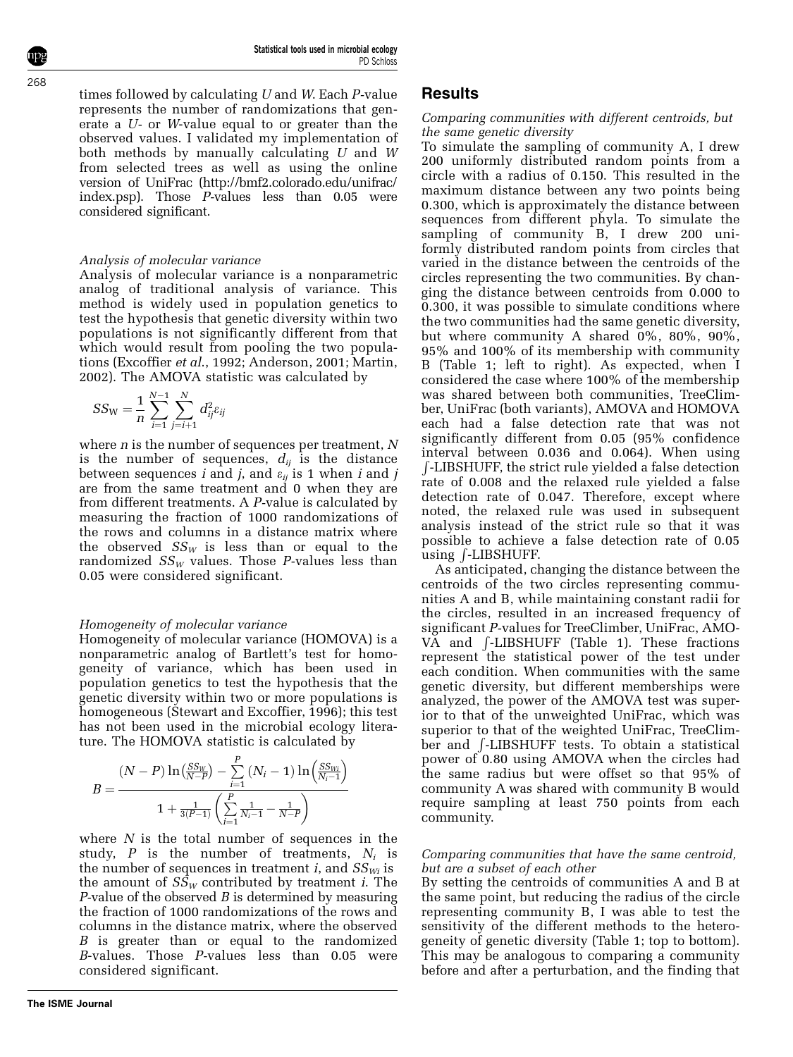Statistical tools used in microbial ecology PD Schloss

times followed by calculating U and W. Each P-value represents the number of randomizations that generate a U- or W-value equal to or greater than the observed values. I validated my implementation of both methods by manually calculating  $U$  and  $W$ from selected trees as well as using the online version of UniFrac [\(http://bmf2.colorado.edu/unifrac/](http://bmf2.colorado.edu/unifrac/index.psp) [index.psp](http://bmf2.colorado.edu/unifrac/index.psp)). Those P-values less than 0.05 were considered significant.

#### Analysis of molecular variance

Analysis of molecular variance is a nonparametric analog of traditional analysis of variance. This method is widely used in population genetics to test the hypothesis that genetic diversity within two populations is not significantly different from that which would result from pooling the two populations [\(Excoffier](#page-9-0) et al., 1992; [Anderson, 2001](#page-9-0); [Martin,](#page-10-0) [2002\)](#page-10-0). The AMOVA statistic was calculated by

$$
SS_{\rm W} = \frac{1}{n} \sum_{i=1}^{N-1} \sum_{j=i+1}^{N} d_{ij}^{2} \varepsilon_{ij}
$$

where  $n$  is the number of sequences per treatment,  $N$ is the number of sequences,  $d_{ii}$  is the distance between sequences *i* and *j*, and  $\varepsilon_{ii}$  is 1 when *i* and *j* are from the same treatment and 0 when they are from different treatments. A P-value is calculated by measuring the fraction of 1000 randomizations of the rows and columns in a distance matrix where the observed  $SS_W$  is less than or equal to the randomized  $SS_W$  values. Those P-values less than 0.05 were considered significant.

#### Homogeneity of molecular variance

Homogeneity of molecular variance (HOMOVA) is a nonparametric analog of Bartlett's test for homogeneity of variance, which has been used in population genetics to test the hypothesis that the genetic diversity within two or more populations is homogeneous ([Stewart and Excoffier, 1996\)](#page-10-0); this test has not been used in the microbial ecology literature. The HOMOVA statistic is calculated by

$$
B = \frac{(N - P) \ln \left( \frac{SS_W}{N - P} \right) - \sum_{i=1}^{P} \left( N_i - 1 \right) \ln \left( \frac{SS_{Wi}}{N_i - 1} \right)}{1 + \frac{1}{3(P - 1)} \left( \sum_{i=1}^{P} \frac{1}{N_i - 1} - \frac{1}{N - P} \right)}
$$

where  $N$  is the total number of sequences in the study,  $P$  is the number of treatments,  $N_i$  is the number of sequences in treatment *i*, and  $SS_{Wi}$  is the amount of  $SS_W$  contributed by treatment *i*. The *P*-value of the observed  $B$  is determined by measuring the fraction of 1000 randomizations of the rows and columns in the distance matrix, where the observed B is greater than or equal to the randomized B-values. Those P-values less than 0.05 were considered significant.

## **Results**

#### Comparing communities with different centroids, but the same genetic diversity

To simulate the sampling of community A, I drew 200 uniformly distributed random points from a circle with a radius of 0.150. This resulted in the maximum distance between any two points being 0.300, which is approximately the distance between sequences from different phyla. To simulate the sampling of community B, I drew 200 uniformly distributed random points from circles that varied in the distance between the centroids of the circles representing the two communities. By changing the distance between centroids from 0.000 to 0.300, it was possible to simulate conditions where the two communities had the same genetic diversity, but where community A shared 0%, 80%, 90%, 95% and 100% of its membership with community B [\(Table 1;](#page-4-0) left to right). As expected, when I considered the case where 100% of the membership was shared between both communities, TreeClimber, UniFrac (both variants), AMOVA and HOMOVA each had a false detection rate that was not significantly different from 0.05 (95% confidence interval between 0.036 and 0.064). When using R -LIBSHUFF, the strict rule yielded a false detection rate of 0.008 and the relaxed rule yielded a false detection rate of 0.047. Therefore, except where noted, the relaxed rule was used in subsequent analysis instead of the strict rule so that it was possible to achieve a false detection rate of 0.05 possible to achieve<br>using f-LIBSHUFF.

As anticipated, changing the distance between the centroids of the two circles representing communities A and B, while maintaining constant radii for the circles, resulted in an increased frequency of significant P-values for TreeClimber, UniFrac, AMOsignmeant *I* -values for Heedminer, Omrac, AMO-<br>VA and *f*-LIBSHUFF [\(Table 1\)](#page-4-0). These fractions represent the statistical power of the test under each condition. When communities with the same genetic diversity, but different memberships were analyzed, the power of the AMOVA test was superior to that of the unweighted UniFrac, which was superior to that of the weighted UniFrac, TreeClimsuperior to that of the weighted Offficial, reedimi-<br>ber and f-LIBSHUFF tests. To obtain a statistical power of 0.80 using AMOVA when the circles had the same radius but were offset so that 95% of community A was shared with community B would require sampling at least 750 points from each community.

#### Comparing communities that have the same centroid, but are a subset of each other

By setting the centroids of communities A and B at the same point, but reducing the radius of the circle representing community B, I was able to test the sensitivity of the different methods to the heterogeneity of genetic diversity ([Table 1](#page-4-0); top to bottom). This may be analogous to comparing a community before and after a perturbation, and the finding that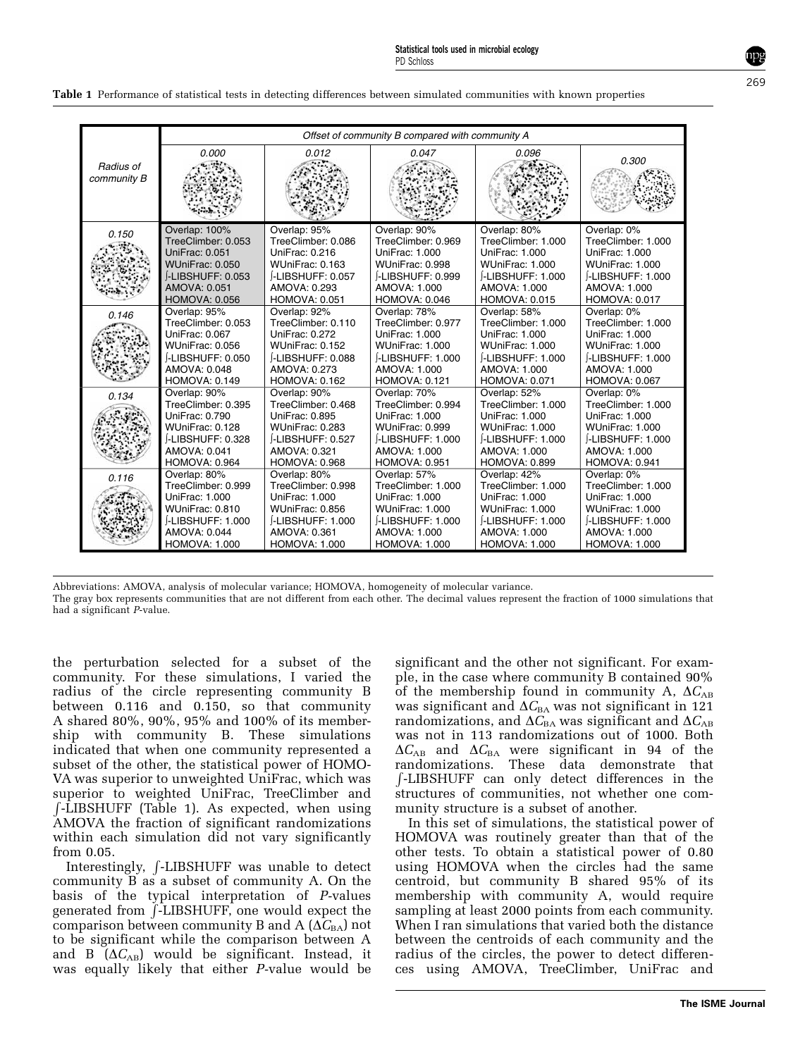|                          | Offset of community B compared with community A |                         |                          |                          |                          |  |
|--------------------------|-------------------------------------------------|-------------------------|--------------------------|--------------------------|--------------------------|--|
| Radius of<br>community B | 0.000                                           | 0.012                   | 0.047                    | 0.096                    | 0.300                    |  |
| 0.150                    | Overlap: 100%                                   | Overlap: 95%            | Overlap: 90%             | Overlap: 80%             | Overlap: 0%              |  |
|                          | TreeClimber: 0.053                              | TreeClimber: 0.086      | TreeClimber: 0.969       | TreeClimber: 1.000       | TreeClimber: 1.000       |  |
|                          | UniFrac: 0.051                                  | UniFrac: 0.216          | UniFrac: 1.000           | UniFrac: 1.000           | UniFrac: 1.000           |  |
|                          | WUniFrac: 0.050                                 | WUniFrac: 0.163         | WUniFrac: 0.998          | WUniFrac: 1.000          | WUniFrac: 1.000          |  |
|                          | I-LIBSHUFF: 0.053                               | <b>LLIBSHUFF: 0.057</b> | <b>I-LIBSHUFF: 0.999</b> | <b>I-LIBSHUFF: 1.000</b> | <b>I-LIBSHUFF: 1.000</b> |  |
|                          | AMOVA: 0.051                                    | AMOVA: 0.293            | AMOVA: 1.000             | AMOVA: 1.000             | AMOVA: 1.000             |  |
|                          | <b>HOMOVA: 0.056</b>                            | <b>HOMOVA: 0.051</b>    | <b>HOMOVA: 0.046</b>     | <b>HOMOVA: 0.015</b>     | <b>HOMOVA: 0.017</b>     |  |
| 0.146                    | Overlap: 95%                                    | Overlap: 92%            | Overlap: 78%             | Overlap: 58%             | Overlap: 0%              |  |
|                          | TreeClimber: 0.053                              | TreeClimber: 0.110      | TreeClimber: 0.977       | TreeClimber: 1.000       | TreeClimber: 1.000       |  |
|                          | UniFrac: 0.067                                  | UniFrac: 0.272          | <b>UniFrac: 1.000</b>    | UniFrac: 1.000           | UniFrac: 1.000           |  |
|                          | WUniFrac: 0.056                                 | WUniFrac: 0.152         | WUniFrac: 1.000          | WUniFrac: 1.000          | WUniFrac: 1.000          |  |
|                          | -LIBSHUFF: 0.050                                | -LIBSHUFF: 0.088        | <b>I-LIBSHUFF: 1.000</b> | <b>I-LIBSHUFF: 1.000</b> | <b>I-LIBSHUFF: 1.000</b> |  |
|                          | AMOVA: 0.048                                    | AMOVA: 0.273            | AMOVA: 1.000             | AMOVA: 1.000             | AMOVA: 1.000             |  |
|                          | <b>HOMOVA: 0.149</b>                            | <b>HOMOVA: 0.162</b>    | <b>HOMOVA: 0.121</b>     | <b>HOMOVA: 0.071</b>     | <b>HOMOVA: 0.067</b>     |  |
| 0.134                    | Overlap: 90%                                    | Overlap: 90%            | Overlap: 70%             | Overlap: 52%             | Overlap: 0%              |  |
|                          | TreeClimber: 0.395                              | TreeClimber: 0.468      | TreeClimber: 0.994       | TreeClimber: 1.000       | TreeClimber: 1.000       |  |
|                          | UniFrac: 0.790                                  | <b>UniFrac: 0.895</b>   | <b>UniFrac: 1.000</b>    | <b>UniFrac: 1.000</b>    | <b>UniFrac: 1.000</b>    |  |
|                          | WUniFrac: 0.128                                 | WUniFrac: 0.283         | WUniFrac: 0.999          | WUniFrac: 1.000          | WUniFrac: 1.000          |  |
|                          | -LIBSHUFF: 0.328                                | -LIBSHUFF: 0.527        | <b>I-LIBSHUFF: 1.000</b> | ∫-LIBSHUFF: 1.000        | <b>I-LIBSHUFF: 1.000</b> |  |
|                          | AMOVA: 0.041                                    | AMOVA: 0.321            | AMOVA: 1.000             | AMOVA: 1.000             | AMOVA: 1.000             |  |
|                          | <b>HOMOVA: 0.964</b>                            | <b>HOMOVA: 0.968</b>    | <b>HOMOVA: 0.951</b>     | <b>HOMOVA: 0.899</b>     | <b>HOMOVA: 0.941</b>     |  |
| 0.116                    | Overlap: 80%                                    | Overlap: 80%            | Overlap: 57%             | Overlap: 42%             | Overlap: 0%              |  |
|                          | TreeClimber: 0.999                              | TreeClimber: 0.998      | TreeClimber: 1.000       | TreeClimber: 1.000       | TreeClimber: 1.000       |  |
|                          | UniFrac: 1.000                                  | <b>UniFrac: 1.000</b>   | UniFrac: 1.000           | <b>UniFrac: 1.000</b>    | <b>UniFrac: 1.000</b>    |  |
|                          | WUniFrac: 0.810                                 | WUniFrac: 0.856         | WUniFrac: 1.000          | WUniFrac: 1.000          | WUniFrac: 1.000          |  |
|                          | -LIBSHUFF: 1.000                                | -LIBSHUFF: 1.000        | ∫-LIBSHUFF: 1.000        | ∫-LIBSHUFF: 1.000        | -LIBSHUFF: 1.000         |  |
|                          | AMOVA: 0.044                                    | AMOVA: 0.361            | AMOVA: 1.000             | AMOVA: 1.000             | AMOVA: 1.000             |  |
|                          | <b>HOMOVA: 1.000</b>                            | <b>HOMOVA: 1.000</b>    | <b>HOMOVA: 1.000</b>     | <b>HOMOVA: 1.000</b>     | <b>HOMOVA: 1.000</b>     |  |

<span id="page-4-0"></span>Table 1 Performance of statistical tests in detecting differences between simulated communities with known properties

Abbreviations: AMOVA, analysis of molecular variance; HOMOVA, homogeneity of molecular variance.

The gray box represents communities that are not different from each other. The decimal values represent the fraction of 1000 simulations that had a significant P-value.

the perturbation selected for a subset of the community. For these simulations, I varied the radius of the circle representing community B between 0.116 and 0.150, so that community A shared 80%, 90%, 95% and 100% of its membership with community B. These simulations indicated that when one community represented a subset of the other, the statistical power of HOMO-VA was superior to unweighted UniFrac, which was superior to weighted UniFrac, TreeClimber and superior to weighted Official, reedifficient and<br>[-LIBSHUFF (Table 1). As expected, when using AMOVA the fraction of significant randomizations within each simulation did not vary significantly from 0.05.

nn 0.03.<br>Interestingly, ∫-LIBSHUFF was unable to detect community B as a subset of community A. On the basis of the typical interpretation of P-values basis of the typical interpretation of *T*-values<br>generated from f-LIBSHUFF, one would expect the comparison between community B and A  $(\Delta C_{\text{BA}})$  not to be significant while the comparison between A and B  $(\Delta C_{AB})$  would be significant. Instead, it was equally likely that either P-value would be

significant and the other not significant. For example, in the case where community B contained 90% of the membership found in community A,  $\Delta C_{AB}$ was significant and  $\Delta C_{BA}$  was not significant in 121 randomizations, and  $\Delta C_{\text{BA}}$  was significant and  $\Delta C_{\text{AB}}$ was not in 113 randomizations out of 1000. Both  $\Delta C_{AB}$  and  $\Delta C_{BA}$  were significant in 94 of the randomizations. These data demonstrate that randomizations. These data demonstrate that<br>f-LIBSHUFF can only detect differences in the structures of communities, not whether one community structure is a subset of another.

In this set of simulations, the statistical power of HOMOVA was routinely greater than that of the other tests. To obtain a statistical power of 0.80 using HOMOVA when the circles had the same centroid, but community B shared 95% of its membership with community A, would require sampling at least 2000 points from each community. When I ran simulations that varied both the distance between the centroids of each community and the radius of the circles, the power to detect differences using AMOVA, TreeClimber, UniFrac and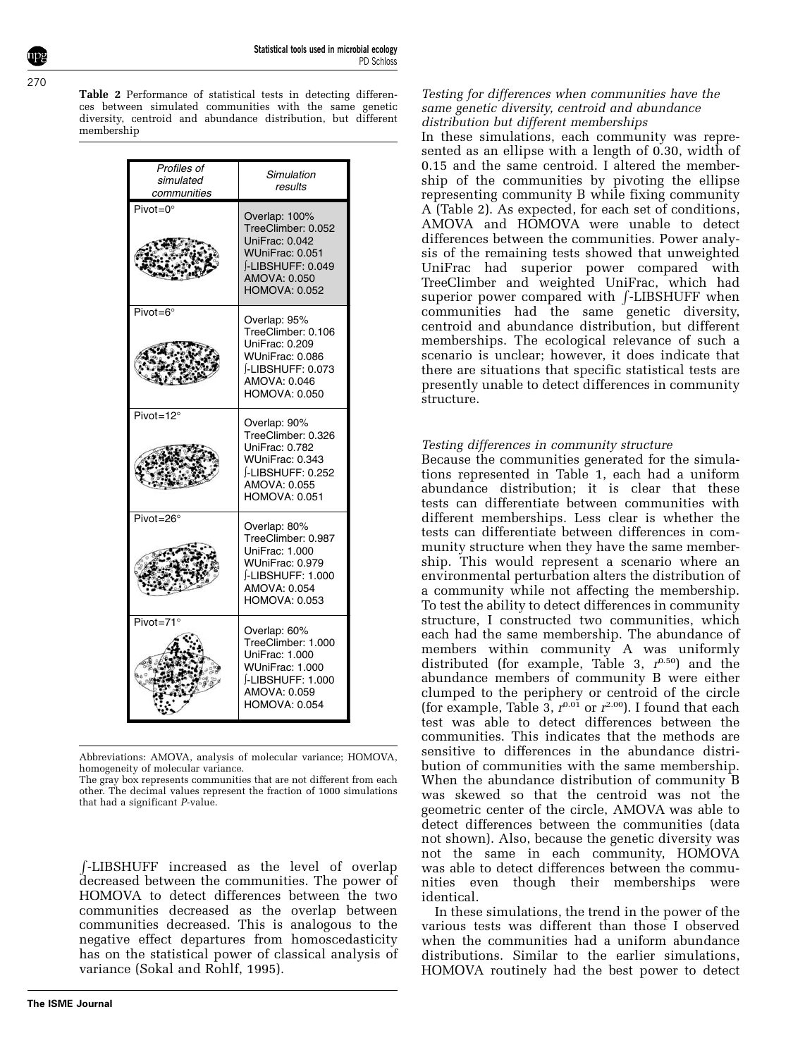<span id="page-5-0"></span>Table 2 Performance of statistical tests in detecting differences between simulated communities with the same genetic diversity, centroid and abundance distribution, but different membership

| Profiles of         | Simulation                                                                                                                                   |
|---------------------|----------------------------------------------------------------------------------------------------------------------------------------------|
| simulated           | results                                                                                                                                      |
| communities         |                                                                                                                                              |
| $Pivot = 0^\circ$   | Overlap: 100%<br>TreeClimber: 0.052<br>UniFrac: 0.042<br>WUniFrac: 0.051<br>I-LIBSHUFF: 0.049<br><b>AMOVA: 0.050</b><br><b>HOMOVA: 0.052</b> |
| Pivot= $6^{\circ}$  | Overlap: 95%<br>TreeClimber: 0.106<br>UniFrac: 0.209<br>WUniFrac: 0.086<br>I-LIBSHUFF: 0.073<br>AMOVA: 0.046<br><b>HOMOVA: 0.050</b>         |
| Pivot= $12^{\circ}$ | Overlap: 90%<br>TreeClimber: 0.326<br>UniFrac: 0.782<br>WUniFrac: 0.343<br>-LIBSHUFF: 0.252<br>AMOVA: 0.055<br><b>HOMOVA: 0.051</b>          |
| Pivot=26 $^{\circ}$ | Overlap: 80%<br>TreeClimber: 0.987<br>UniFrac: 1.000<br>WUniFrac: 0.979<br>-LIBSHUFF: 1.000<br>AMOVA: 0.054<br><b>HOMOVA: 0.053</b>          |
| $Pivot = 71$        | Overlap: 60%<br>TreeClimber: 1.000<br>UniFrac: 1.000<br>WUniFrac: 1.000<br><b>I-LIBSHUFF: 1.000</b><br>AMOVA: 0.059<br><b>HOMOVA: 0.054</b>  |

Abbreviations: AMOVA, analysis of molecular variance; HOMOVA, homogeneity of molecular variance.

f-LIBSHUFF increased as the level of overlap decreased between the communities. The power of HOMOVA to detect differences between the two communities decreased as the overlap between communities decreased. This is analogous to the negative effect departures from homoscedasticity has on the statistical power of classical analysis of variance ([Sokal and Rohlf, 1995](#page-10-0)).

### Testing for differences when communities have the same genetic diversity, centroid and abundance distribution but different memberships

In these simulations, each community was represented as an ellipse with a length of 0.30, width of 0.15 and the same centroid. I altered the membership of the communities by pivoting the ellipse representing community B while fixing community A (Table 2). As expected, for each set of conditions, AMOVA and HOMOVA were unable to detect differences between the communities. Power analysis of the remaining tests showed that unweighted UniFrac had superior power compared with TreeClimber and weighted UniFrac, which had needimilier and weighted Unit at, which had<br>superior power compared with f-LIBSHUFF when communities had the same genetic diversity, centroid and abundance distribution, but different memberships. The ecological relevance of such a scenario is unclear; however, it does indicate that there are situations that specific statistical tests are presently unable to detect differences in community structure.

## Testing differences in community structure

Because the communities generated for the simulations represented in [Table 1,](#page-4-0) each had a uniform abundance distribution; it is clear that these tests can differentiate between communities with different memberships. Less clear is whether the tests can differentiate between differences in community structure when they have the same membership. This would represent a scenario where an environmental perturbation alters the distribution of a community while not affecting the membership. To test the ability to detect differences in community structure, I constructed two communities, which each had the same membership. The abundance of members within community A was uniformly distributed (for example, [Table 3](#page-6-0),  $r^{0.50}$ ) and the abundance members of community B were either clumped to the periphery or centroid of the circle (for example, [Table 3](#page-6-0),  $r^{0.01}$  or  $r^{2.00}$ ). I found that each test was able to detect differences between the communities. This indicates that the methods are sensitive to differences in the abundance distribution of communities with the same membership. When the abundance distribution of community B was skewed so that the centroid was not the geometric center of the circle, AMOVA was able to detect differences between the communities (data not shown). Also, because the genetic diversity was not the same in each community, HOMOVA was able to detect differences between the communities even though their memberships were identical.

In these simulations, the trend in the power of the various tests was different than those I observed when the communities had a uniform abundance distributions. Similar to the earlier simulations, HOMOVA routinely had the best power to detect

The gray box represents communities that are not different from each other. The decimal values represent the fraction of 1000 simulations that had a significant P-value.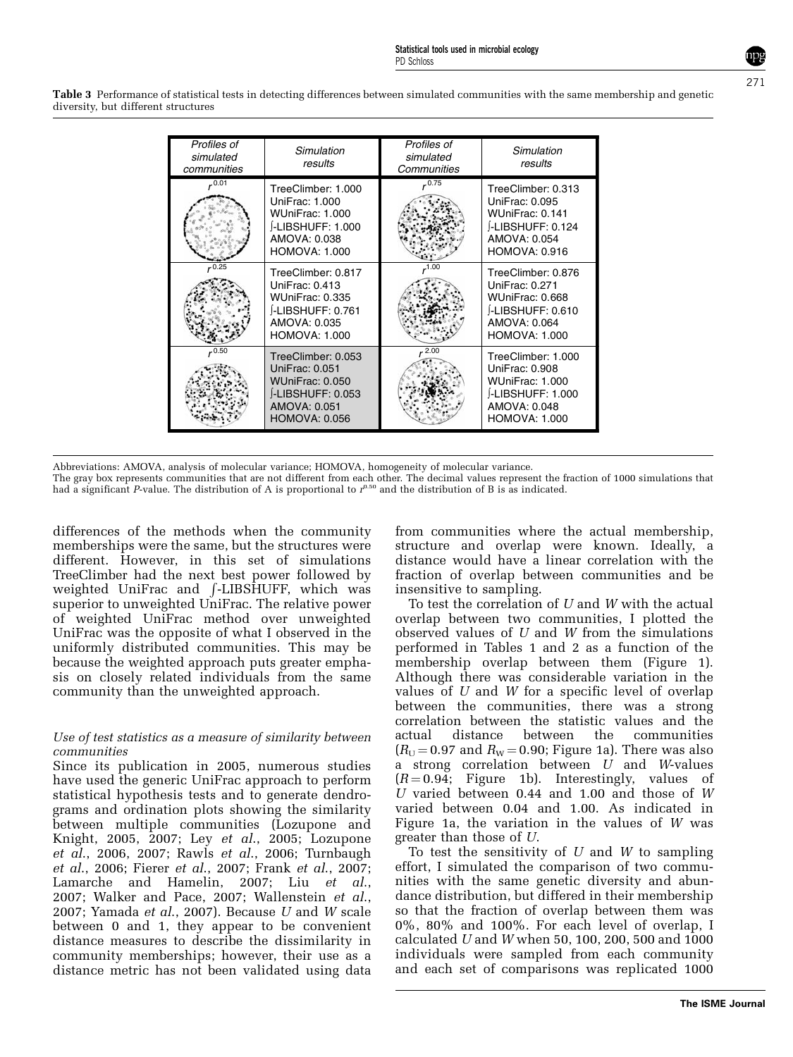<span id="page-6-0"></span>Table 3 Performance of statistical tests in detecting differences between simulated communities with the same membership and genetic diversity, but different structures

| Profiles of<br>simulated<br>communities | Simulation<br>results                                                                                                                     | Profiles of<br>simulated<br>Communities | Simulation<br>results                                                                                               |
|-----------------------------------------|-------------------------------------------------------------------------------------------------------------------------------------------|-----------------------------------------|---------------------------------------------------------------------------------------------------------------------|
| $r^{0.01}$                              | TreeClimber: 1.000<br><b>UniFrac: 1.000</b><br><b>WUniFrac: 1.000</b><br><b>I-LIBSHUFF: 1.000</b><br>AMOVA: 0.038<br><b>HOMOVA: 1.000</b> | .0.75                                   | TreeClimber: 0.313<br>UniFrac: 0.095<br>WUniFrac: 0.141<br>-LIBSHUFF: 0.124<br>AMOVA: 0.054<br><b>HOMOVA: 0.916</b> |
|                                         | TreeClimber: 0.817<br>UniFrac: 0.413<br>WUniFrac: 0.335<br>-LIBSHUFF: 0.761<br>AMOVA: 0.035<br><b>HOMOVA: 1.000</b>                       |                                         | TreeClimber: 0.876<br>UniFrac: 0.271<br>WUniFrac: 0.668<br>-LIBSHUFF: 0.610<br>AMOVA: 0.064<br><b>HOMOVA: 1.000</b> |
| 0.50ء                                   | TreeClimber: 0.053<br>UniFrac: 0.051<br>WUniFrac: 0.050<br>-LIBSHUFF: 0.053<br>AMOVA: 0.051<br><b>HOMOVA: 0.056</b>                       |                                         | TreeClimber: 1.000<br>UniFrac: 0.908<br>WUniFrac: 1.000<br>-LIBSHUFF: 1.000<br>AMOVA: 0.048<br><b>HOMOVA: 1.000</b> |

Abbreviations: AMOVA, analysis of molecular variance; HOMOVA, homogeneity of molecular variance.

The gray box represents communities that are not different from each other. The decimal values represent the fraction of 1000 simulations that had a significant P-value. The distribution of A is proportional to  $t^{0.50}$  and the distribution of B is as indicated.

differences of the methods when the community memberships were the same, but the structures were different. However, in this set of simulations TreeClimber had the next best power followed by needmoot had the next best power followed by<br>weighted UniFrac and *f*-LIBSHUFF, which was superior to unweighted UniFrac. The relative power of weighted UniFrac method over unweighted UniFrac was the opposite of what I observed in the uniformly distributed communities. This may be because the weighted approach puts greater emphasis on closely related individuals from the same community than the unweighted approach.

## Use of test statistics as a measure of similarity between communities

Since its publication in 2005, numerous studies have used the generic UniFrac approach to perform statistical hypothesis tests and to generate dendrograms and ordination plots showing the similarity between multiple communities [\(Lozupone and](#page-10-0) [Knight, 2005, 2007;](#page-10-0) Ley et al[., 2005; Lozupone](#page-10-0) et al[., 2006, 2007;](#page-10-0) Rawls et al[., 2006; Turnbaugh](#page-10-0) et al[., 2006;](#page-10-0) Fierer et al[., 2007;](#page-9-0) Frank et al[., 2007;](#page-9-0) [Lamarche and Hamelin, 2007;](#page-9-0) Liu [et al](#page-10-0)., [2007; Walker and Pace, 2007](#page-10-0); [Wallenstein](#page-10-0) et al., [2007; Yamada](#page-10-0) et al., 2007). Because  $U$  and  $W$  scale between 0 and 1, they appear to be convenient distance measures to describe the dissimilarity in community memberships; however, their use as a distance metric has not been validated using data from communities where the actual membership, structure and overlap were known. Ideally, a distance would have a linear correlation with the fraction of overlap between communities and be insensitive to sampling.

To test the correlation of  $U$  and  $W$  with the actual overlap between two communities, I plotted the observed values of  $U$  and  $W$  from the simulations performed in [Tables 1 and 2](#page-4-0) as a function of the membership overlap between them [\(Figure 1\)](#page-7-0). Although there was considerable variation in the values of  $U$  and  $W$  for a specific level of overlap between the communities, there was a strong correlation between the statistic values and the actual distance between the communities  $(R_U = 0.97$  and  $R_W = 0.90$ ; [Figure 1a\)](#page-7-0). There was also a strong correlation between  $U$  and  $W$ -values  $(R=0.94;$  [Figure 1b\)](#page-7-0). Interestingly, values of U varied between 0.44 and 1.00 and those of W varied between 0.04 and 1.00. As indicated in [Figure 1a](#page-7-0), the variation in the values of  $W$  was greater than those of U.

To test the sensitivity of  $U$  and  $W$  to sampling effort, I simulated the comparison of two communities with the same genetic diversity and abundance distribution, but differed in their membership so that the fraction of overlap between them was 0%, 80% and 100%. For each level of overlap, I calculated U and W when 50, 100, 200, 500 and 1000 individuals were sampled from each community and each set of comparisons was replicated 1000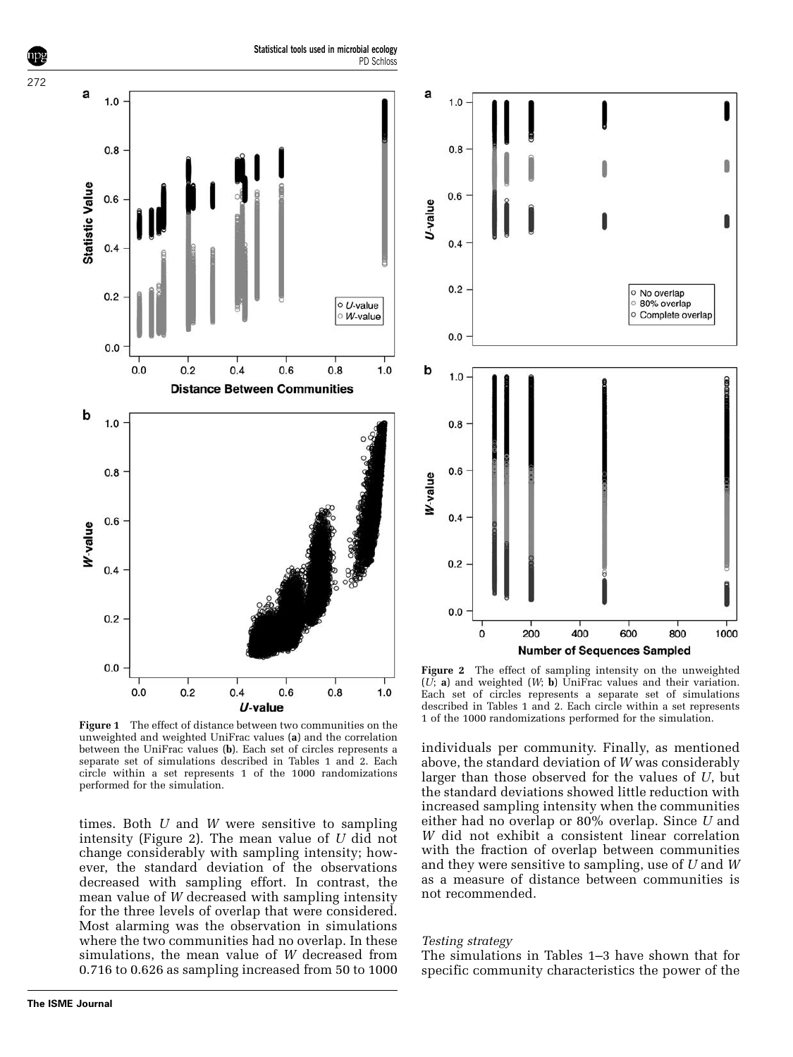<span id="page-7-0"></span>

Figure 1 The effect of distance between two communities on the unweighted and weighted UniFrac values (a) and the correlation between the UniFrac values (b). Each set of circles represents a separate set of simulations described in [Tables 1 and 2.](#page-4-0) Each circle within a set represents 1 of the 1000 randomizations performed for the simulation.

times. Both  $U$  and  $W$  were sensitive to sampling intensity (Figure 2). The mean value of  $U$  did not change considerably with sampling intensity; however, the standard deviation of the observations decreased with sampling effort. In contrast, the mean value of W decreased with sampling intensity for the three levels of overlap that were considered. Most alarming was the observation in simulations where the two communities had no overlap. In these simulations, the mean value of  $W$  decreased from 0.716 to 0.626 as sampling increased from 50 to 1000

272



Figure 2 The effect of sampling intensity on the unweighted  $(U; \mathbf{a})$  and weighted  $(W; \mathbf{b})$  UniFrac values and their variation. Each set of circles represents a separate set of simulations described in [Tables 1 and 2.](#page-4-0) Each circle within a set represents<br>1 of the 1000 randomizations performed for the simulation.

individuals per community. Finally, as mentioned above, the standard deviation of W was considerably larger than those observed for the values of U, but the standard deviations showed little reduction with increased sampling intensity when the communities either had no overlap or  $80\%$  overlap. Since U and W did not exhibit a consistent linear correlation with the fraction of overlap between communities and they were sensitive to sampling, use of U and W as a measure of distance between communities is not recommended.

#### Testing strategy

The simulations in [Tables 1–3](#page-4-0) have shown that for specific community characteristics the power of the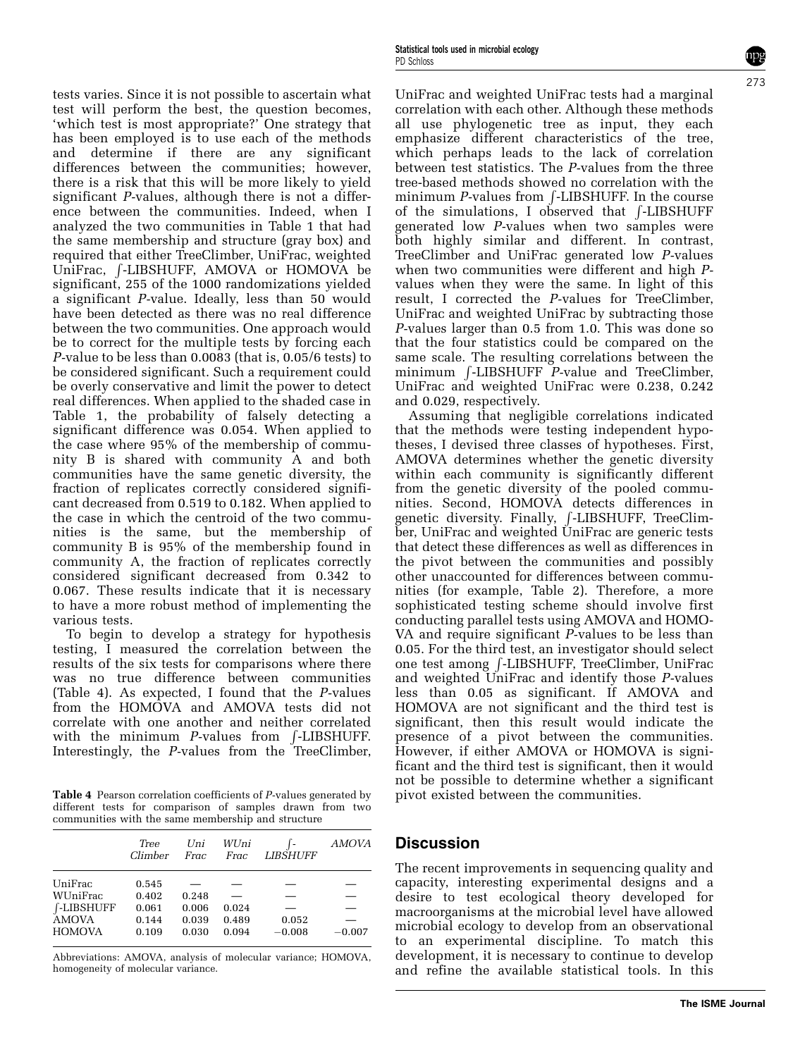tests varies. Since it is not possible to ascertain what test will perform the best, the question becomes, 'which test is most appropriate?' One strategy that has been employed is to use each of the methods and determine if there are any significant differences between the communities; however, there is a risk that this will be more likely to yield significant P-values, although there is not a difference between the communities. Indeed, when I analyzed the two communities in [Table 1](#page-4-0) that had the same membership and structure (gray box) and required that either TreeClimber, UniFrac, weighted required that entier rreedminer, Omrylac, weighted<br>UniFrac, ∫-LIBSHUFF, AMOVA or HOMOVA be significant, 255 of the 1000 randomizations yielded a significant P-value. Ideally, less than 50 would have been detected as there was no real difference between the two communities. One approach would be to correct for the multiple tests by forcing each P-value to be less than 0.0083 (that is, 0.05/6 tests) to be considered significant. Such a requirement could be overly conservative and limit the power to detect real differences. When applied to the shaded case in [Table 1,](#page-4-0) the probability of falsely detecting a significant difference was 0.054. When applied to the case where 95% of the membership of community B is shared with community A and both communities have the same genetic diversity, the fraction of replicates correctly considered significant decreased from 0.519 to 0.182. When applied to the case in which the centroid of the two communities is the same, but the membership of community B is 95% of the membership found in community A, the fraction of replicates correctly considered significant decreased from 0.342 to 0.067. These results indicate that it is necessary to have a more robust method of implementing the various tests.

To begin to develop a strategy for hypothesis testing, I measured the correlation between the results of the six tests for comparisons where there was no true difference between communities (Table 4). As expected, I found that the P-values from the HOMOVA and AMOVA tests did not correlate with one another and neither correlated with the minimum *P*-values from *f*-LIBSHUFF. Interestingly, the P-values from the TreeClimber,

Table 4 Pearson correlation coefficients of P-values generated by different tests for comparison of samples drawn from two communities with the same membership and structure

|                   | Tree<br>Climber | Uni<br>Frac | WUni<br><b>Frac</b> | <b>LIBSHUFF</b> | AMOVA    |
|-------------------|-----------------|-------------|---------------------|-----------------|----------|
| UniFrac           | 0.545           |             |                     |                 |          |
| WUniFrac          | 0.402           | 0.248       |                     |                 |          |
| <b>f-LIBSHUFF</b> | 0.061           | 0.006       | 0.024               |                 |          |
| AMOVA             | 0.144           | 0.039       | 0.489               | 0.052           |          |
| <b>HOMOVA</b>     | 0.109           | 0.030       | 0.094               | $-0.008$        | $-0.007$ |

Abbreviations: AMOVA, analysis of molecular variance; HOMOVA, homogeneity of molecular variance.

UniFrac and weighted UniFrac tests had a marginal correlation with each other. Although these methods all use phylogenetic tree as input, they each emphasize different characteristics of the tree, which perhaps leads to the lack of correlation between test statistics. The P-values from the three tree-based methods showed no correlation with the  $\alpha$  mechods showed no correlation with the minimum P-values from  $\int$ -LIBSHUFF. In the course  $\frac{1}{2}$  of the simulations, I observed that  $\int$ -LIBSHUFF generated low P-values when two samples were both highly similar and different. In contrast, TreeClimber and UniFrac generated low P-values when two communities were different and high  $P$ values when they were the same. In light of this result, I corrected the P-values for TreeClimber, UniFrac and weighted UniFrac by subtracting those P-values larger than 0.5 from 1.0. This was done so that the four statistics could be compared on the same scale. The resulting correlations between the saile scale. The resulting correlations between the<br>minimum f-LIBSHUFF P-value and TreeClimber, UniFrac and weighted UniFrac were 0.238, 0.242 and 0.029, respectively.

Assuming that negligible correlations indicated that the methods were testing independent hypotheses, I devised three classes of hypotheses. First, AMOVA determines whether the genetic diversity within each community is significantly different from the genetic diversity of the pooled communities. Second, HOMOVA detects differences in mues: Second, HOMOVII detects differences in<br>genetic diversity. Finally, *f*-LIBSHUFF, TreeClimber, UniFrac and weighted UniFrac are generic tests that detect these differences as well as differences in the pivot between the communities and possibly other unaccounted for differences between communities (for example, [Table 2](#page-5-0)). Therefore, a more sophisticated testing scheme should involve first conducting parallel tests using AMOVA and HOMO-VA and require significant P-values to be less than 0.05. For the third test, an investigator should select o.o.. For the timulest, an investigator should select<br>one test among f-LIBSHUFF, TreeClimber, UniFrac and weighted UniFrac and identify those P-values less than 0.05 as significant. If AMOVA and HOMOVA are not significant and the third test is significant, then this result would indicate the presence of a pivot between the communities. However, if either AMOVA or HOMOVA is significant and the third test is significant, then it would not be possible to determine whether a significant pivot existed between the communities.

# **Discussion**

The recent improvements in sequencing quality and capacity, interesting experimental designs and a desire to test ecological theory developed for macroorganisms at the microbial level have allowed microbial ecology to develop from an observational to an experimental discipline. To match this development, it is necessary to continue to develop and refine the available statistical tools. In this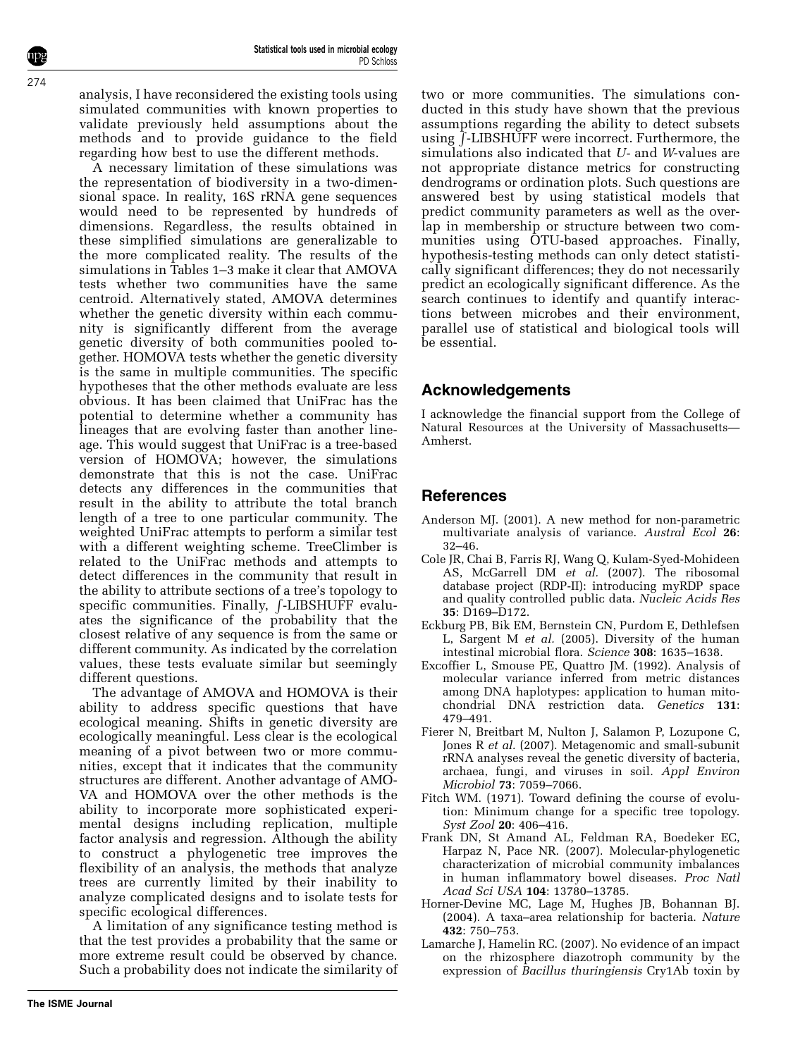analysis, I have reconsidered the existing tools using simulated communities with known properties to validate previously held assumptions about the methods and to provide guidance to the field regarding how best to use the different methods.

A necessary limitation of these simulations was the representation of biodiversity in a two-dimensional space. In reality, 16S rRNA gene sequences would need to be represented by hundreds of dimensions. Regardless, the results obtained in these simplified simulations are generalizable to the more complicated reality. The results of the simulations in [Tables 1–3](#page-4-0) make it clear that AMOVA tests whether two communities have the same centroid. Alternatively stated, AMOVA determines whether the genetic diversity within each community is significantly different from the average genetic diversity of both communities pooled together. HOMOVA tests whether the genetic diversity is the same in multiple communities. The specific hypotheses that the other methods evaluate are less obvious. It has been claimed that UniFrac has the potential to determine whether a community has lineages that are evolving faster than another lineage. This would suggest that UniFrac is a tree-based version of HOMOVA; however, the simulations demonstrate that this is not the case. UniFrac detects any differences in the communities that result in the ability to attribute the total branch length of a tree to one particular community. The weighted UniFrac attempts to perform a similar test with a different weighting scheme. TreeClimber is related to the UniFrac methods and attempts to detect differences in the community that result in the ability to attribute sections of a tree's topology to the ability to attribute sections of a tree's topology to<br>specific communities. Finally, f-LIBSHUFF evaluates the significance of the probability that the closest relative of any sequence is from the same or different community. As indicated by the correlation values, these tests evaluate similar but seemingly different questions.

The advantage of AMOVA and HOMOVA is their ability to address specific questions that have ecological meaning. Shifts in genetic diversity are ecologically meaningful. Less clear is the ecological meaning of a pivot between two or more communities, except that it indicates that the community structures are different. Another advantage of AMO-VA and HOMOVA over the other methods is the ability to incorporate more sophisticated experimental designs including replication, multiple factor analysis and regression. Although the ability to construct a phylogenetic tree improves the flexibility of an analysis, the methods that analyze trees are currently limited by their inability to analyze complicated designs and to isolate tests for specific ecological differences.

A limitation of any significance testing method is that the test provides a probability that the same or more extreme result could be observed by chance. Such a probability does not indicate the similarity of

two or more communities. The simulations conducted in this study have shown that the previous assumptions regarding the ability to detect subsets assumptions regarding the ability to detect subsets<br>using f-LIBSHUFF were incorrect. Furthermore, the simulations also indicated that U- and W-values are not appropriate distance metrics for constructing dendrograms or ordination plots. Such questions are answered best by using statistical models that predict community parameters as well as the overlap in membership or structure between two communities using OTU-based approaches. Finally, hypothesis-testing methods can only detect statistically significant differences; they do not necessarily predict an ecologically significant difference. As the search continues to identify and quantify interactions between microbes and their environment, parallel use of statistical and biological tools will be essential.

# Acknowledgements

I acknowledge the financial support from the College of Natural Resources at the University of Massachusetts— Amherst.

# References

- Anderson MJ. (2001). A new method for non-parametric multivariate analysis of variance. Austral Ecol 26: 32–46.
- Cole JR, Chai B, Farris RJ, Wang Q, Kulam-Syed-Mohideen AS, McGarrell DM et al. (2007). The ribosomal database project (RDP-II): introducing myRDP space and quality controlled public data. Nucleic Acids Res 35: D169–D172.
- Eckburg PB, Bik EM, Bernstein CN, Purdom E, Dethlefsen L, Sargent M et al. (2005). Diversity of the human intestinal microbial flora. Science 308: 1635–1638.
- Excoffier L, Smouse PE, Quattro JM. (1992). Analysis of molecular variance inferred from metric distances among DNA haplotypes: application to human mitochondrial DNA restriction data. Genetics 131: 479–491.
- Fierer N, Breitbart M, Nulton J, Salamon P, Lozupone C, Jones R et al. (2007). Metagenomic and small-subunit rRNA analyses reveal the genetic diversity of bacteria, archaea, fungi, and viruses in soil. Appl Environ Microbiol 73: 7059–7066.
- Fitch WM. (1971). Toward defining the course of evolution: Minimum change for a specific tree topology. Syst Zool 20: 406–416.
- Frank DN, St Amand AL, Feldman RA, Boedeker EC, Harpaz N, Pace NR. (2007). Molecular-phylogenetic characterization of microbial community imbalances in human inflammatory bowel diseases. Proc Natl Acad Sci USA 104: 13780–13785.
- Horner-Devine MC, Lage M, Hughes JB, Bohannan BJ. (2004). A taxa–area relationship for bacteria. Nature 432: 750–753.
- Lamarche J, Hamelin RC. (2007). No evidence of an impact on the rhizosphere diazotroph community by the expression of Bacillus thuringiensis Cry1Ab toxin by

<span id="page-9-0"></span> $27<sub>A</sub>$